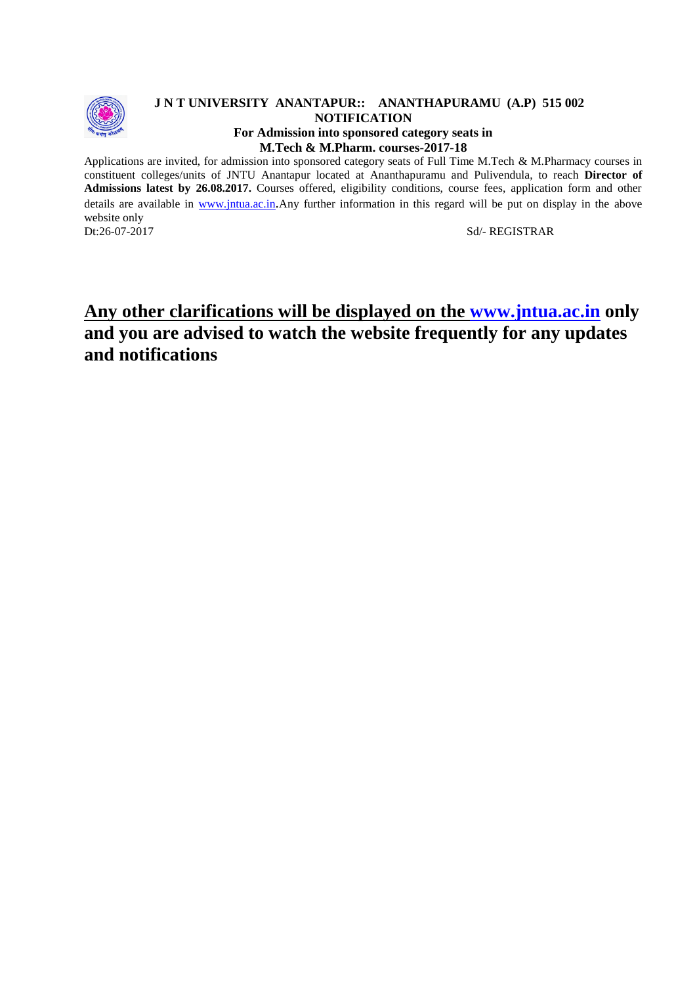

#### **J N T UNIVERSITY ANANTAPUR:: ANANTHAPURAMU (A.P) 515 002 NOTIFICATION For Admission into sponsored category seats in M.Tech & M.Pharm. courses-2017-18**

Applications are invited, for admission into sponsored category seats of Full Time M.Tech & M.Pharmacy courses in constituent colleges/units of JNTU Anantapur located at Ananthapuramu and Pulivendula, to reach **Director of Admissions latest by 26.08.2017.** Courses offered, eligibility conditions, course fees, application form and other details are available in [www.jntua.ac.in](http://www.jntua.ac.in/).Any further information in this regard will be put on display in the above

website only<br>Dt:26-07-2017

Sd/- REGISTRAR

# **Any other clarifications will be displayed on the [www.jntua.ac.in](http://www.jntua.ac.in/) only and you are advised to watch the website frequently for any updates and notifications**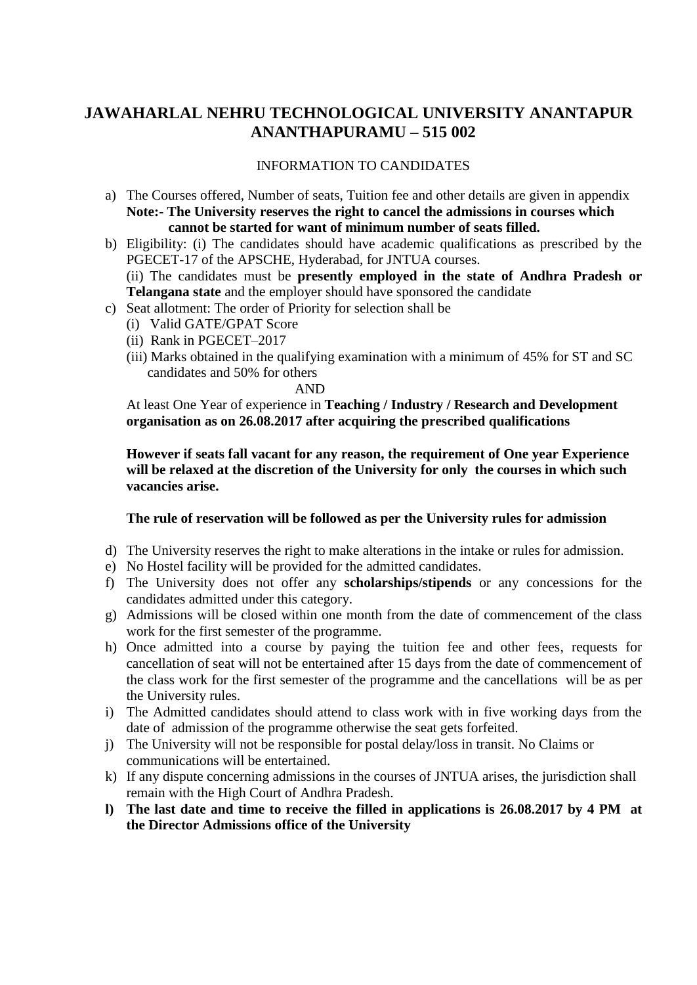## **JAWAHARLAL NEHRU TECHNOLOGICAL UNIVERSITY ANANTAPUR ANANTHAPURAMU – 515 002**

### INFORMATION TO CANDIDATES

- a) The Courses offered, Number of seats, Tuition fee and other details are given in appendix **Note:- The University reserves the right to cancel the admissions in courses which cannot be started for want of minimum number of seats filled.**
- b) Eligibility: (i) The candidates should have academic qualifications as prescribed by the PGECET-17 of the APSCHE, Hyderabad, for JNTUA courses. (ii) The candidates must be **presently employed in the state of Andhra Pradesh or Telangana state** and the employer should have sponsored the candidate
- c) Seat allotment: The order of Priority for selection shall be
	- (i) Valid GATE/GPAT Score
	- (ii) Rank in PGECET–2017
	- (iii) Marks obtained in the qualifying examination with a minimum of 45% for ST and SC candidates and 50% for others

AND

At least One Year of experience in **Teaching / Industry / Research and Development organisation as on 26.08.2017 after acquiring the prescribed qualifications**

**However if seats fall vacant for any reason, the requirement of One year Experience will be relaxed at the discretion of the University for only the courses in which such vacancies arise.**

#### **The rule of reservation will be followed as per the University rules for admission**

- d) The University reserves the right to make alterations in the intake or rules for admission.
- e) No Hostel facility will be provided for the admitted candidates.
- f) The University does not offer any **scholarships/stipends** or any concessions for the candidates admitted under this category.
- g) Admissions will be closed within one month from the date of commencement of the class work for the first semester of the programme.
- h) Once admitted into a course by paying the tuition fee and other fees, requests for cancellation of seat will not be entertained after 15 days from the date of commencement of the class work for the first semester of the programme and the cancellations will be as per the University rules.
- i) The Admitted candidates should attend to class work with in five working days from the date of admission of the programme otherwise the seat gets forfeited.
- j) The University will not be responsible for postal delay/loss in transit. No Claims or communications will be entertained.
- k) If any dispute concerning admissions in the courses of JNTUA arises, the jurisdiction shall remain with the High Court of Andhra Pradesh.
- **l) The last date and time to receive the filled in applications is 26.08.2017 by 4 PM at the Director Admissions office of the University**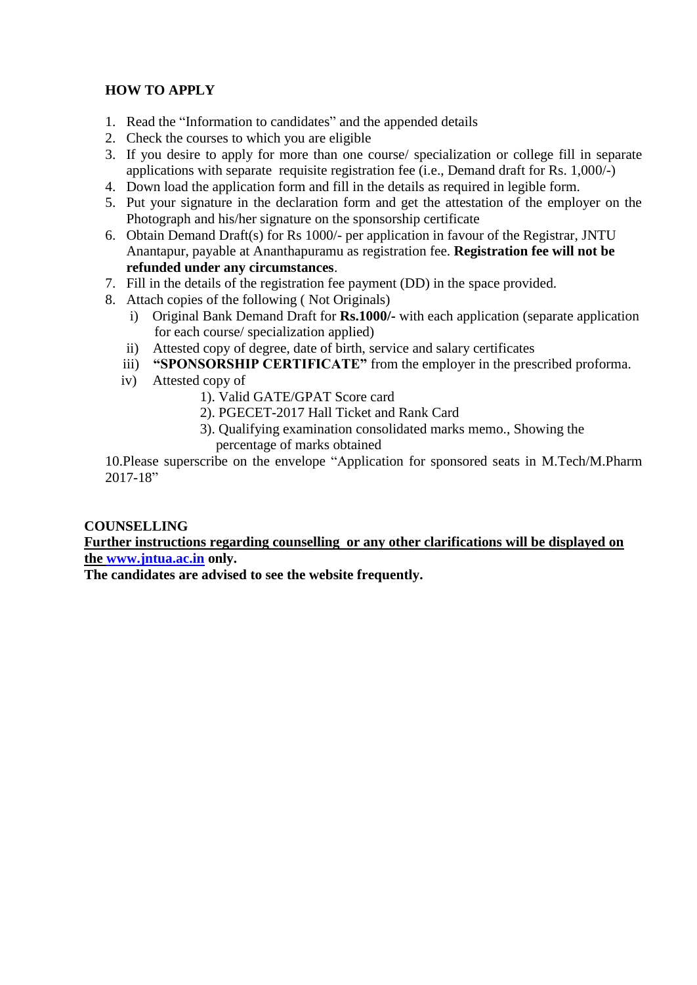### **HOW TO APPLY**

- 1. Read the "Information to candidates" and the appended details
- 2. Check the courses to which you are eligible
- 3. If you desire to apply for more than one course/ specialization or college fill in separate applications with separate requisite registration fee (i.e., Demand draft for Rs. 1,000/-)
- 4. Down load the application form and fill in the details as required in legible form.
- 5. Put your signature in the declaration form and get the attestation of the employer on the Photograph and his/her signature on the sponsorship certificate
- 6. Obtain Demand Draft(s) for Rs 1000/- per application in favour of the Registrar, JNTU Anantapur, payable at Ananthapuramu as registration fee. **Registration fee will not be refunded under any circumstances**.
- 7. Fill in the details of the registration fee payment (DD) in the space provided.
- 8. Attach copies of the following ( Not Originals)
	- i) Original Bank Demand Draft for **Rs.1000/-** with each application (separate application for each course/ specialization applied)
	- ii) Attested copy of degree, date of birth, service and salary certificates
	- iii) **"SPONSORSHIP CERTIFICATE"** from the employer in the prescribed proforma.
	- iv) Attested copy of
		- 1). Valid GATE/GPAT Score card
		- 2). PGECET-2017 Hall Ticket and Rank Card
		- 3). Qualifying examination consolidated marks memo., Showing the percentage of marks obtained

10.Please superscribe on the envelope "Application for sponsored seats in M.Tech/M.Pharm 2017-18"

### **COUNSELLING**

### **Further instructions regarding counselling or any other clarifications will be displayed on the [www.jntua.ac.in](http://www.jntua.ac.in/) only.**

**The candidates are advised to see the website frequently.**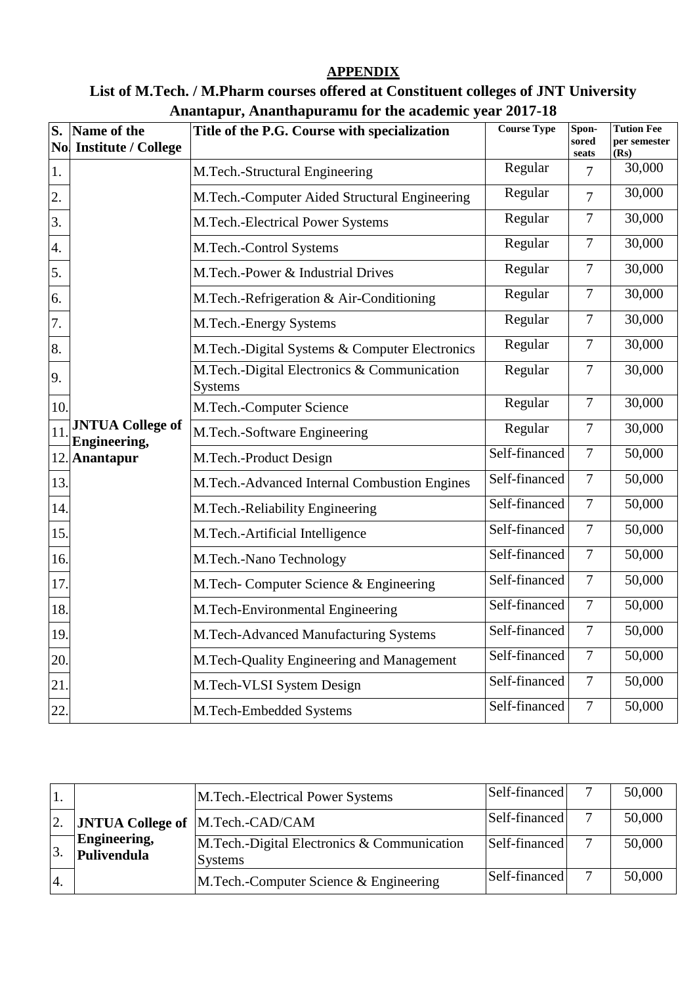### **APPENDIX**

# **List of M.Tech. / M.Pharm courses offered at Constituent colleges of JNT University Anantapur, Ananthapuramu for the academic year 2017-18**

| $\overline{\mathbf{S}}$ . | Title of the P.G. Course with specialization<br>Name of the<br>No Institute / College |                                                               | <b>Course Type</b> | Spon-<br>sored<br>seats | <b>Tution Fee</b><br>per semester<br>(Rs) |
|---------------------------|---------------------------------------------------------------------------------------|---------------------------------------------------------------|--------------------|-------------------------|-------------------------------------------|
| 1.                        |                                                                                       | M.Tech.-Structural Engineering                                | Regular            | 7                       | 30,000                                    |
| 2.                        |                                                                                       | M.Tech.-Computer Aided Structural Engineering                 | Regular            | $\overline{7}$          | 30,000                                    |
| 3.                        |                                                                                       | M.Tech.-Electrical Power Systems                              | Regular            | $\overline{7}$          | 30,000                                    |
| 4.                        |                                                                                       | M.Tech.-Control Systems                                       | Regular            | $\overline{7}$          | 30,000                                    |
| 5.                        |                                                                                       | M.Tech.-Power & Industrial Drives                             | Regular            | $\overline{7}$          | 30,000                                    |
| 6.                        |                                                                                       | M.Tech.-Refrigeration & Air-Conditioning                      | Regular            | $\overline{7}$          | 30,000                                    |
| 7.                        |                                                                                       | M.Tech.-Energy Systems                                        | Regular            | $\overline{7}$          | 30,000                                    |
| 8.                        |                                                                                       | M.Tech.-Digital Systems & Computer Electronics                | Regular            | $\tau$                  | 30,000                                    |
| 9.                        |                                                                                       | M.Tech.-Digital Electronics & Communication<br><b>Systems</b> | Regular            | $\overline{7}$          | 30,000                                    |
| 10.                       |                                                                                       | M.Tech.-Computer Science                                      | Regular            | $\overline{7}$          | 30,000                                    |
| 11                        | <b>JNTUA College of</b><br>Engineering,                                               | M.Tech.-Software Engineering                                  | Regular            | $\tau$                  | 30,000                                    |
| 12.                       | <b>Anantapur</b>                                                                      | M.Tech.-Product Design                                        | Self-financed      | $\tau$                  | 50,000                                    |
| 13.                       |                                                                                       | M.Tech.-Advanced Internal Combustion Engines                  | Self-financed      | $\overline{7}$          | 50,000                                    |
| 14.                       |                                                                                       | M.Tech.-Reliability Engineering                               | Self-financed      | $\overline{7}$          | 50,000                                    |
| 15.                       |                                                                                       | M.Tech.-Artificial Intelligence                               | Self-financed      | $\overline{7}$          | 50,000                                    |
| 16.                       |                                                                                       | M.Tech.-Nano Technology                                       | Self-financed      | $\overline{7}$          | 50,000                                    |
| 17.                       |                                                                                       | M.Tech- Computer Science & Engineering                        | Self-financed      | $\overline{7}$          | 50,000                                    |
| 18.                       |                                                                                       | M.Tech-Environmental Engineering                              | Self-financed      | $\overline{7}$          | 50,000                                    |
| 19.                       |                                                                                       | M.Tech-Advanced Manufacturing Systems                         | Self-financed      | $\tau$                  | 50,000                                    |
| 20.                       |                                                                                       | M.Tech-Quality Engineering and Management                     | Self-financed      | $\overline{7}$          | 50,000                                    |
| 21.                       |                                                                                       | M.Tech-VLSI System Design                                     | Self-financed      | $\tau$                  | 50,000                                    |
| 22.                       |                                                                                       | M.Tech-Embedded Systems                                       | Self-financed      | $\overline{7}$          | 50,000                                    |

|                  |                             | M.Tech.-Electrical Power Systems                               | Self-financed |              | 50,000 |
|------------------|-----------------------------|----------------------------------------------------------------|---------------|--------------|--------|
| $\overline{2}$ . |                             | <b>JNTUA College of  M.Tech.-CAD/CAM</b>                       | Self-financed |              | 50,000 |
| 3                | Engineering,<br>Pulivendula | M. Tech.-Digital Electronics & Communication<br><b>Systems</b> | Self-financed |              | 50,000 |
| $\overline{4}$ . |                             | M.Tech.-Computer Science & Engineering                         | Self-financed | $\mathbf{r}$ | 50,000 |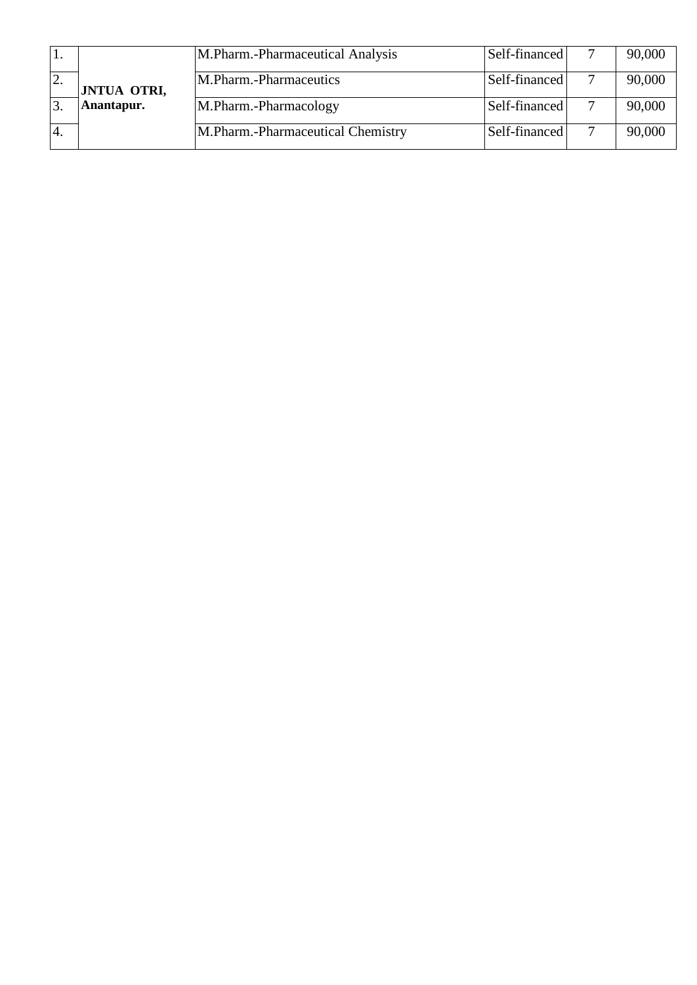|                  |                    | M.Pharm.-Pharmaceutical Analysis  | Self-financed | 90,000 |
|------------------|--------------------|-----------------------------------|---------------|--------|
| <sup>2.</sup>    | <b>JNTUA OTRI,</b> | M.Pharm.-Pharmaceutics            | Self-financed | 90,000 |
|                  | Anantapur.         | M.Pharm.-Pharmacology             | Self-financed | 90,000 |
| $\overline{A}$ . |                    | M.Pharm.-Pharmaceutical Chemistry | Self-financed | 90,000 |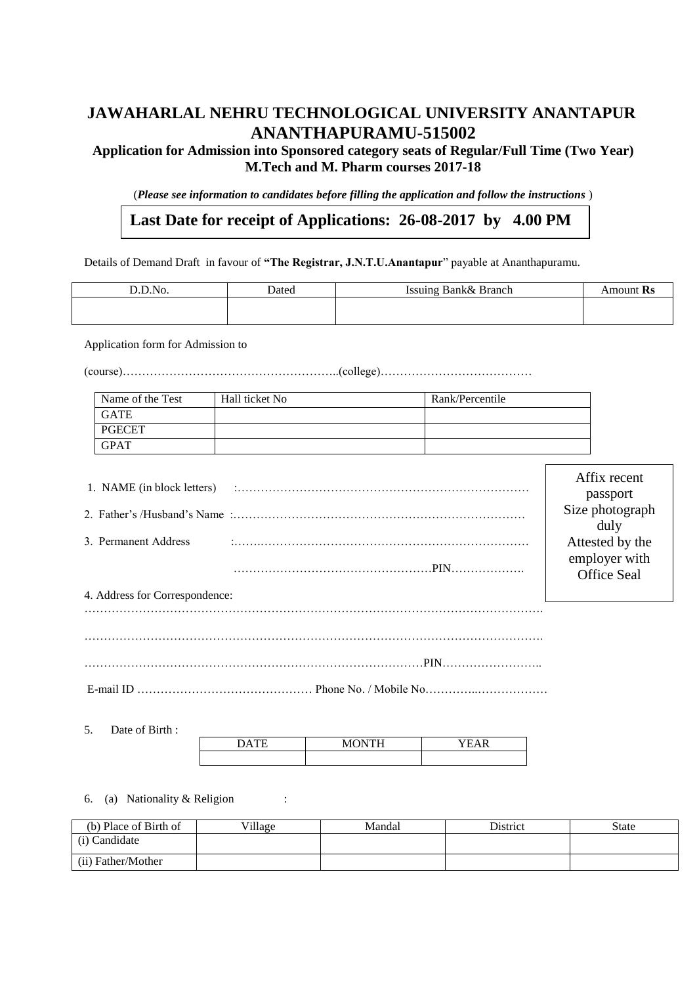# **JAWAHARLAL NEHRU TECHNOLOGICAL UNIVERSITY ANANTAPUR ANANTHAPURAMU-515002**

### **Application for Admission into Sponsored category seats of Regular/Full Time (Two Year) M.Tech and M. Pharm courses 2017-18**

(*Please see information to candidates before filling the application and follow the instructions* )

# **Last Date for receipt of Applications: 26-08-2017 by 4.00 PM**

Details of Demand Draft in favour of **"The Registrar, J.N.T.U.Anantapur**" payable at Ananthapuramu.

| D.D.No.                                                | Dated          | Issuing Bank& Branch                                             | Amount Rs                                                                                     |
|--------------------------------------------------------|----------------|------------------------------------------------------------------|-----------------------------------------------------------------------------------------------|
| Application form for Admission to                      |                |                                                                  |                                                                                               |
|                                                        |                |                                                                  |                                                                                               |
| Name of the Test                                       | Hall ticket No | Rank/Percentile                                                  |                                                                                               |
| <b>GATE</b>                                            |                |                                                                  |                                                                                               |
| <b>PGECET</b>                                          |                |                                                                  |                                                                                               |
| <b>GPAT</b>                                            |                |                                                                  |                                                                                               |
| 3. Permanent Address<br>4. Address for Correspondence: |                |                                                                  | passport<br>Size photograph<br>duly<br>Attested by the<br>employer with<br><b>Office Seal</b> |
|                                                        |                |                                                                  |                                                                                               |
| $E$ mail ID                                            |                | $D_{\text{hono}}$ $N_{\text{o}}$ / $M_{\text{o}}$ $N_{\text{o}}$ |                                                                                               |

E-mail ID ……………………………………… Phone No. / Mobile No…………..………………

5. Date of Birth :

**pm**

|  | $- - - - - -$<br>$ -$ |  |
|--|-----------------------|--|
|  |                       |  |

6. (a) Nationality & Religion :

| (b) Place of Birth of | Village | Mandal | <b>District</b> | <b>State</b> |
|-----------------------|---------|--------|-----------------|--------------|
| (i) Candidate         |         |        |                 |              |
| (ii) Father/Mother    |         |        |                 |              |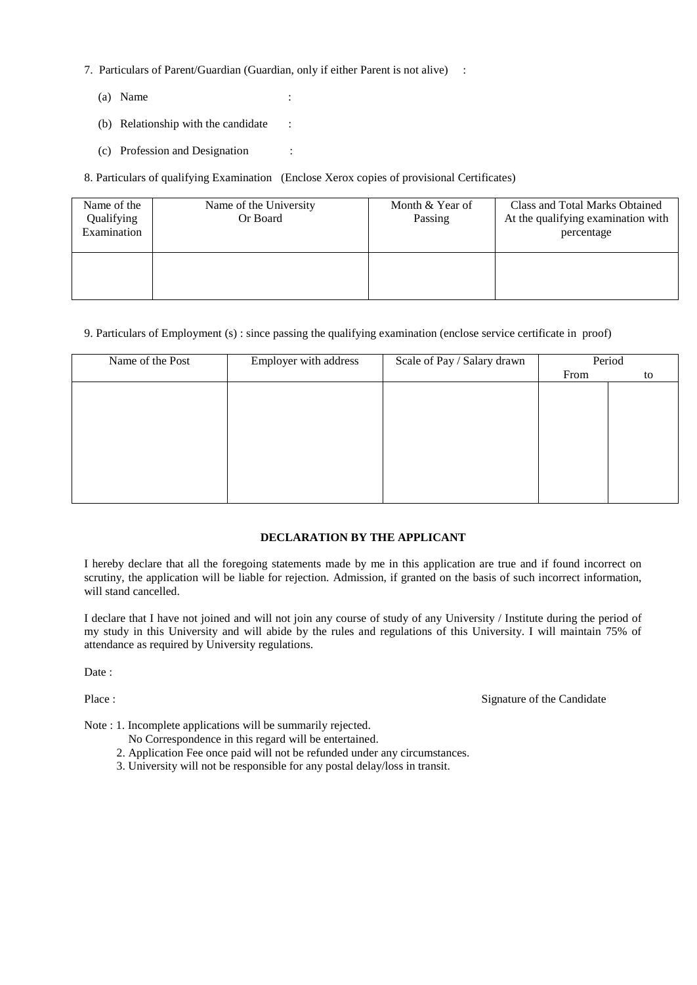- 7. Particulars of Parent/Guardian (Guardian, only if either Parent is not alive) :
	- (a) Name :
	- (b) Relationship with the candidate :
	- (c) Profession and Designation :

8. Particulars of qualifying Examination (Enclose Xerox copies of provisional Certificates)

| Name of the<br>Qualifying<br>Examination | Name of the University<br>Or Board | Month & Year of<br>Passing | Class and Total Marks Obtained<br>At the qualifying examination with<br>percentage |
|------------------------------------------|------------------------------------|----------------------------|------------------------------------------------------------------------------------|
|                                          |                                    |                            |                                                                                    |

9. Particulars of Employment (s) : since passing the qualifying examination (enclose service certificate in proof)

| Employer with address | Scale of Pay / Salary drawn |      | Period |
|-----------------------|-----------------------------|------|--------|
|                       |                             | From | to     |
|                       |                             |      |        |
|                       |                             |      |        |
|                       |                             |      |        |
|                       |                             |      |        |
|                       |                             |      |        |
|                       |                             |      |        |
|                       |                             |      |        |
|                       |                             |      |        |
|                       |                             |      |        |

#### **DECLARATION BY THE APPLICANT**

I hereby declare that all the foregoing statements made by me in this application are true and if found incorrect on scrutiny, the application will be liable for rejection. Admission, if granted on the basis of such incorrect information, will stand cancelled.

I declare that I have not joined and will not join any course of study of any University / Institute during the period of my study in this University and will abide by the rules and regulations of this University. I will maintain 75% of attendance as required by University regulations.

Date:

Place : Signature of the Candidate

Note : 1. Incomplete applications will be summarily rejected.

- No Correspondence in this regard will be entertained.
- 2. Application Fee once paid will not be refunded under any circumstances.
- 3. University will not be responsible for any postal delay/loss in transit.